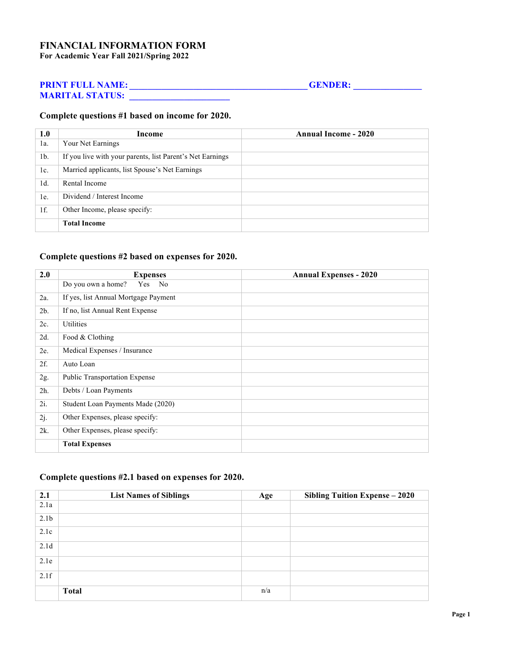## **FINANCIAL INFORMATION FORM For Academic Year Fall 2021/Spring 2022**

# **PRINT FULL NAME: \_\_\_\_\_\_\_\_\_\_\_\_\_\_\_\_\_\_\_\_\_\_\_\_\_\_\_\_\_\_\_\_\_\_\_\_\_\_\_GENDER: \_\_\_\_\_\_\_\_\_\_\_\_\_\_\_**

**MARITAL STATUS: \_\_\_\_\_\_\_\_\_\_\_\_\_\_\_\_\_\_\_\_\_\_**

### **Complete questions #1 based on income for 2020.**

| 1.0            | Income                                                    | <b>Annual Income - 2020</b> |
|----------------|-----------------------------------------------------------|-----------------------------|
| $1a$ .         | Your Net Earnings                                         |                             |
| 1 <sub>b</sub> | If you live with your parents, list Parent's Net Earnings |                             |
| 1c.            | Married applicants, list Spouse's Net Earnings            |                             |
| $1d$ .         | Rental Income                                             |                             |
| 1e.            | Dividend / Interest Income                                |                             |
| $1f$ .         | Other Income, please specify:                             |                             |
|                | <b>Total Income</b>                                       |                             |

# **Complete questions #2 based on expenses for 2020.**

| 2.0    | <b>Expenses</b>                      | <b>Annual Expenses - 2020</b> |
|--------|--------------------------------------|-------------------------------|
|        | Do you own a home?<br>Yes<br>No      |                               |
| 2a.    | If yes, list Annual Mortgage Payment |                               |
| 2b.    | If no, list Annual Rent Expense      |                               |
| 2c.    | Utilities                            |                               |
| 2d.    | Food & Clothing                      |                               |
| 2e.    | Medical Expenses / Insurance         |                               |
| 2f.    | Auto Loan                            |                               |
| 2g.    | <b>Public Transportation Expense</b> |                               |
| 2h.    | Debts / Loan Payments                |                               |
| $2i$ . | Student Loan Payments Made (2020)    |                               |
| 2j.    | Other Expenses, please specify:      |                               |
| $2k$ . | Other Expenses, please specify:      |                               |
|        | <b>Total Expenses</b>                |                               |

# **Complete questions #2.1 based on expenses for 2020.**

| 2.1              | <b>List Names of Siblings</b> | Age | Sibling Tuition Expense - 2020 |
|------------------|-------------------------------|-----|--------------------------------|
| 2.1a             |                               |     |                                |
| 2.1 <sub>b</sub> |                               |     |                                |
| 2.1c             |                               |     |                                |
| 2.1 <sub>d</sub> |                               |     |                                |
| 2.1e             |                               |     |                                |
| 2.1f             |                               |     |                                |
|                  | <b>Total</b>                  | n/a |                                |